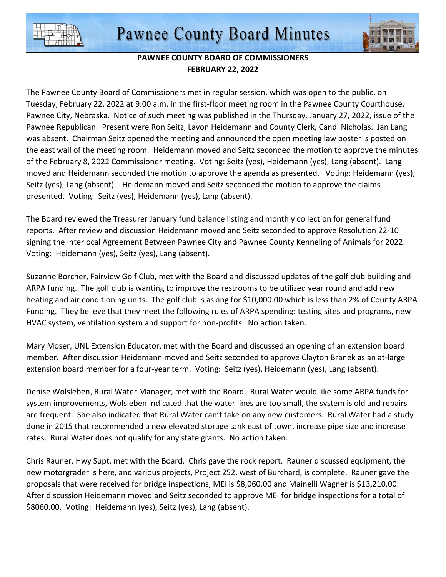



## **PAWNEE COUNTY BOARD OF COMMISSIONERS FEBRUARY 22, 2022**

The Pawnee County Board of Commissioners met in regular session, which was open to the public, on Tuesday, February 22, 2022 at 9:00 a.m. in the first-floor meeting room in the Pawnee County Courthouse, Pawnee City, Nebraska. Notice of such meeting was published in the Thursday, January 27, 2022, issue of the Pawnee Republican. Present were Ron Seitz, Lavon Heidemann and County Clerk, Candi Nicholas. Jan Lang was absent. Chairman Seitz opened the meeting and announced the open meeting law poster is posted on the east wall of the meeting room. Heidemann moved and Seitz seconded the motion to approve the minutes of the February 8, 2022 Commissioner meeting. Voting: Seitz (yes), Heidemann (yes), Lang (absent). Lang moved and Heidemann seconded the motion to approve the agenda as presented. Voting: Heidemann (yes), Seitz (yes), Lang (absent). Heidemann moved and Seitz seconded the motion to approve the claims presented. Voting: Seitz (yes), Heidemann (yes), Lang (absent).

The Board reviewed the Treasurer January fund balance listing and monthly collection for general fund reports. After review and discussion Heidemann moved and Seitz seconded to approve Resolution 22-10 signing the Interlocal Agreement Between Pawnee City and Pawnee County Kenneling of Animals for 2022. Voting: Heidemann (yes), Seitz (yes), Lang (absent).

Suzanne Borcher, Fairview Golf Club, met with the Board and discussed updates of the golf club building and ARPA funding. The golf club is wanting to improve the restrooms to be utilized year round and add new heating and air conditioning units. The golf club is asking for \$10,000.00 which is less than 2% of County ARPA Funding. They believe that they meet the following rules of ARPA spending: testing sites and programs, new HVAC system, ventilation system and support for non-profits. No action taken.

Mary Moser, UNL Extension Educator, met with the Board and discussed an opening of an extension board member. After discussion Heidemann moved and Seitz seconded to approve Clayton Branek as an at-large extension board member for a four-year term. Voting: Seitz (yes), Heidemann (yes), Lang (absent).

Denise Wolsleben, Rural Water Manager, met with the Board. Rural Water would like some ARPA funds for system improvements, Wolsleben indicated that the water lines are too small, the system is old and repairs are frequent. She also indicated that Rural Water can't take on any new customers. Rural Water had a study done in 2015 that recommended a new elevated storage tank east of town, increase pipe size and increase rates. Rural Water does not qualify for any state grants. No action taken.

Chris Rauner, Hwy Supt, met with the Board. Chris gave the rock report. Rauner discussed equipment, the new motorgrader is here, and various projects, Project 252, west of Burchard, is complete. Rauner gave the proposals that were received for bridge inspections, MEI is \$8,060.00 and Mainelli Wagner is \$13,210.00. After discussion Heidemann moved and Seitz seconded to approve MEI for bridge inspections for a total of \$8060.00. Voting: Heidemann (yes), Seitz (yes), Lang (absent).